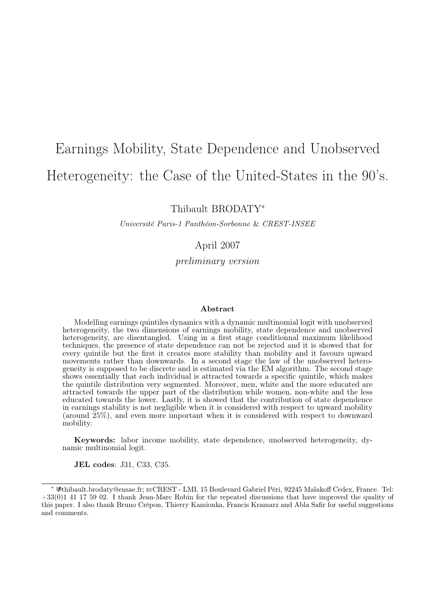# Earnings Mobility, State Dependence and Unobserved Heterogeneity: the Case of the United-States in the 90's.

Thibault BRODATY<sup>∗</sup>

Université Paris-1 Panthéon-Sorbonne & CREST-INSEE

### April 2007

preliminary version

#### Abstract

Modelling earnings quintiles dynamics with a dynamic multinomial logit with unobserved heterogeneity, the two dimensions of earnings mobility, state dependence and unobserved heterogeneity, are disentangled. Using in a first stage conditionnal maximum likelihood techniques, the presence of state dependence can not be rejected and it is showed that for every quintile but the first it creates more stability than mobility and it favours upward movements rather than downwards. In a second stage the law of the unobserved heterogeneity is supposed to be discrete and is estimated via the EM algorithm. The second stage shows essentially that each individual is attracted towards a specific quintile, which makes the quintile distribution very segmented. Moreover, men, white and the more educated are attracted towards the upper part of the distribution while women, non-white and the less educated towards the lower. Lastly, it is showed that the contribution of state dependence in earnings stability is not negligible when it is considered with respect to upward mobility (around 25%), and even more important when it is considered with respect to downward mobility.

Keywords: labor income mobility, state dependence, unobserved heterogeneity, dynamic multinomial logit.

JEL codes: J31, C33, C35.

<sup>∗</sup> kthibault.brodaty@ensae.fr; BCREST - LMI, 15 Boulevard Gabriel Péri, 92245 Malakoff Cedex, France. Tel: +33(0)1 41 17 59 02. I thank Jean-Marc Robin for the repeated discussions that have improved the quality of this paper. I also thank Bruno Crépon, Thierry Kamionka, Francis Kramarz and Abla Safir for useful suggestions and comments.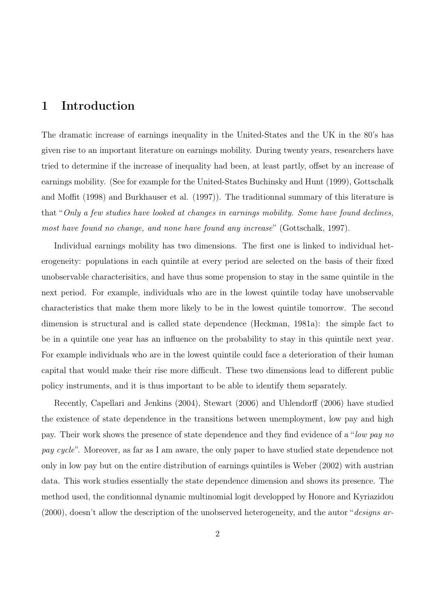## 1 Introduction

The dramatic increase of earnings inequality in the United-States and the UK in the 80's has given rise to an important literature on earnings mobility. During twenty years, researchers have tried to determine if the increase of inequality had been, at least partly, offset by an increase of earnings mobility. (See for example for the United-States Buchinsky and Hunt (1999), Gottschalk and Moffit (1998) and Burkhauser et al. (1997)). The traditionnal summary of this literature is that "Only a few studies have looked at changes in earnings mobility. Some have found declines, most have found no change, and none have found any increase" (Gottschalk, 1997).

Individual earnings mobility has two dimensions. The first one is linked to individual heterogeneity: populations in each quintile at every period are selected on the basis of their fixed unobservable characterisitics, and have thus some propension to stay in the same quintile in the next period. For example, individuals who are in the lowest quintile today have unobservable characteristics that make them more likely to be in the lowest quintile tomorrow. The second dimension is structural and is called state dependence (Heckman, 1981a): the simple fact to be in a quintile one year has an influence on the probability to stay in this quintile next year. For example individuals who are in the lowest quintile could face a deterioration of their human capital that would make their rise more difficult. These two dimensions lead to different public policy instruments, and it is thus important to be able to identify them separately.

Recently, Capellari and Jenkins (2004), Stewart (2006) and Uhlendorff (2006) have studied the existence of state dependence in the transitions between unemployment, low pay and high pay. Their work shows the presence of state dependence and they find evidence of a "low pay no pay cycle". Moreover, as far as I am aware, the only paper to have studied state dependence not only in low pay but on the entire distribution of earnings quintiles is Weber (2002) with austrian data. This work studies essentially the state dependence dimension and shows its presence. The method used, the conditionnal dynamic multinomial logit developped by Honore and Kyriazidou  $(2000)$ , doesn't allow the description of the unobserved heterogeneity, and the autor "*designs ar-*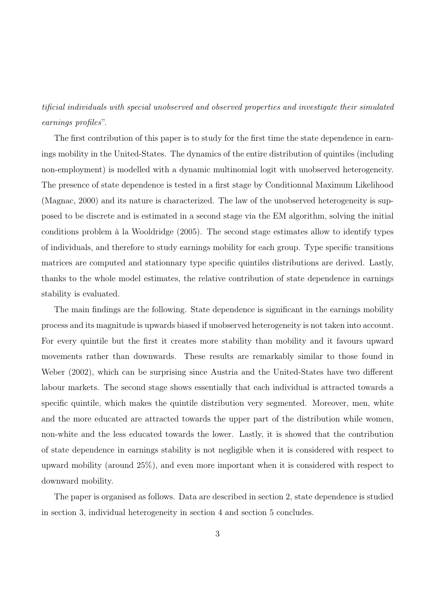tificial individuals with special unobserved and observed properties and investigate their simulated earnings profiles".

The first contribution of this paper is to study for the first time the state dependence in earnings mobility in the United-States. The dynamics of the entire distribution of quintiles (including non-employment) is modelled with a dynamic multinomial logit with unobserved heterogeneity. The presence of state dependence is tested in a first stage by Conditionnal Maximum Likelihood (Magnac, 2000) and its nature is characterized. The law of the unobserved heterogeneity is supposed to be discrete and is estimated in a second stage via the EM algorithm, solving the initial conditions problem à la Wooldridge (2005). The second stage estimates allow to identify types of individuals, and therefore to study earnings mobility for each group. Type specific transitions matrices are computed and stationnary type specific quintiles distributions are derived. Lastly, thanks to the whole model estimates, the relative contribution of state dependence in earnings stability is evaluated.

The main findings are the following. State dependence is significant in the earnings mobility process and its magnitude is upwards biased if unobserved heterogeneity is not taken into account. For every quintile but the first it creates more stability than mobility and it favours upward movements rather than downwards. These results are remarkably similar to those found in Weber (2002), which can be surprising since Austria and the United-States have two different labour markets. The second stage shows essentially that each individual is attracted towards a specific quintile, which makes the quintile distribution very segmented. Moreover, men, white and the more educated are attracted towards the upper part of the distribution while women, non-white and the less educated towards the lower. Lastly, it is showed that the contribution of state dependence in earnings stability is not negligible when it is considered with respect to upward mobility (around 25%), and even more important when it is considered with respect to downward mobility.

The paper is organised as follows. Data are described in section 2, state dependence is studied in section 3, individual heterogeneity in section 4 and section 5 concludes.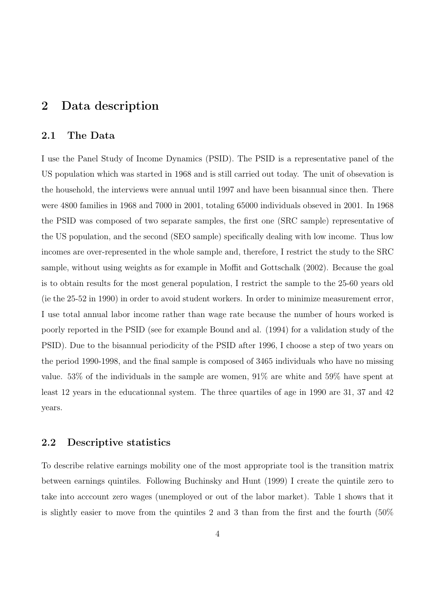## 2 Data description

#### 2.1 The Data

I use the Panel Study of Income Dynamics (PSID). The PSID is a representative panel of the US population which was started in 1968 and is still carried out today. The unit of obsevation is the household, the interviews were annual until 1997 and have been bisannual since then. There were 4800 families in 1968 and 7000 in 2001, totaling 65000 individuals obseved in 2001. In 1968 the PSID was composed of two separate samples, the first one (SRC sample) representative of the US population, and the second (SEO sample) specifically dealing with low income. Thus low incomes are over-represented in the whole sample and, therefore, I restrict the study to the SRC sample, without using weights as for example in Moffit and Gottschalk (2002). Because the goal is to obtain results for the most general population, I restrict the sample to the 25-60 years old (ie the 25-52 in 1990) in order to avoid student workers. In order to minimize measurement error, I use total annual labor income rather than wage rate because the number of hours worked is poorly reported in the PSID (see for example Bound and al. (1994) for a validation study of the PSID). Due to the bisannual periodicity of the PSID after 1996, I choose a step of two years on the period 1990-1998, and the final sample is composed of 3465 individuals who have no missing value. 53% of the individuals in the sample are women, 91% are white and 59% have spent at least 12 years in the educationnal system. The three quartiles of age in 1990 are 31, 37 and 42 years.

#### 2.2 Descriptive statistics

To describe relative earnings mobility one of the most appropriate tool is the transition matrix between earnings quintiles. Following Buchinsky and Hunt (1999) I create the quintile zero to take into acccount zero wages (unemployed or out of the labor market). Table 1 shows that it is slightly easier to move from the quintiles 2 and 3 than from the first and the fourth (50%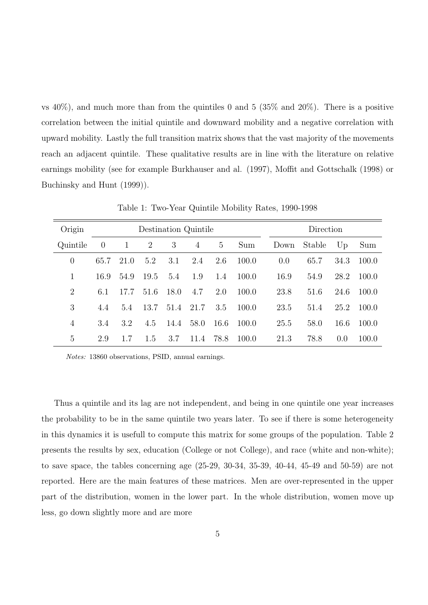vs  $40\%$ ), and much more than from the quintiles 0 and 5 (35% and 20%). There is a positive correlation between the initial quintile and downward mobility and a negative correlation with upward mobility. Lastly the full transition matrix shows that the vast majority of the movements reach an adjacent quintile. These qualitative results are in line with the literature on relative earnings mobility (see for example Burkhauser and al. (1997), Moffit and Gottschalk (1998) or Buchinsky and Hunt (1999)).

| Origin         |                |              |      | Destination Quintile |                | Direction       |       |      |        |      |       |
|----------------|----------------|--------------|------|----------------------|----------------|-----------------|-------|------|--------|------|-------|
| Quintile       | $\overline{0}$ | $\mathbf{1}$ | 2    | 3                    | $\overline{4}$ | $5\overline{)}$ | Sum   | Down | Stable | Up   | Sum   |
| $\theta$       | 65.7           | 21.0         | 5.2  | 3.1                  | 2.4            | 2.6             | 100.0 | 0.0  | 65.7   | 34.3 | 100.0 |
| 1              | 16.9           | 54.9         | 19.5 | 5.4                  | 1.9            | 1.4             | 100.0 | 16.9 | 54.9   | 28.2 | 100.0 |
| $\overline{2}$ | 6.1            | 17.7         | 51.6 | 18.0                 | 4.7            | 2.0             | 100.0 | 23.8 | 51.6   | 24.6 | 100.0 |
| 3              | 4.4            | 5.4          | 13.7 | 51.4                 | 21.7           | 3.5             | 100.0 | 23.5 | 51.4   | 25.2 | 100.0 |
| 4              | 3.4            | 3.2          | 4.5  | 14.4                 | 58.0           | 16.6            | 100.0 | 25.5 | 58.0   | 16.6 | 100.0 |
| 5              | 2.9            | 1.7          | 1.5  | 3.7                  | 11.4           | 78.8            | 100.0 | 21.3 | 78.8   | 0.0  | 100.0 |

Table 1: Two-Year Quintile Mobility Rates, 1990-1998

Notes: 13860 observations, PSID, annual earnings.

Thus a quintile and its lag are not independent, and being in one quintile one year increases the probability to be in the same quintile two years later. To see if there is some heterogeneity in this dynamics it is usefull to compute this matrix for some groups of the population. Table 2 presents the results by sex, education (College or not College), and race (white and non-white); to save space, the tables concerning age (25-29, 30-34, 35-39, 40-44, 45-49 and 50-59) are not reported. Here are the main features of these matrices. Men are over-represented in the upper part of the distribution, women in the lower part. In the whole distribution, women move up less, go down slightly more and are more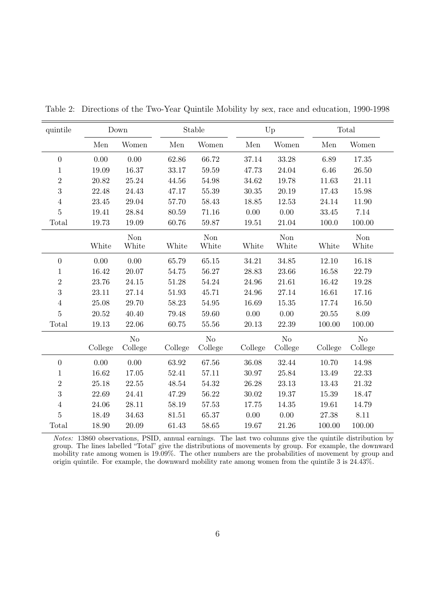| quintile         |         | Down                |         | Stable       |         | Up             |         | Total               |
|------------------|---------|---------------------|---------|--------------|---------|----------------|---------|---------------------|
|                  | Men     | Women               | Men     | Women        | Men     | Women          | Men     | Women               |
| $\boldsymbol{0}$ | 0.00    | 0.00                | 62.86   | 66.72        | 37.14   | 33.28          | 6.89    | 17.35               |
| $\mathbf{1}$     | 19.09   | 16.37               | 33.17   | 59.59        | 47.73   | 24.04          | 6.46    | 26.50               |
| $\overline{2}$   | 20.82   | 25.24               | 44.56   | 54.98        | 34.62   | 19.78          | 11.63   | 21.11               |
| $\sqrt{3}$       | 22.48   | 24.43               | 47.17   | 55.39        | 30.35   | 20.19          | 17.43   | 15.98               |
| $\overline{4}$   | 23.45   | 29.04               | 57.70   | 58.43        | 18.85   | 12.53          | 24.14   | 11.90               |
| $\bf 5$          | 19.41   | 28.84               | 80.59   | 71.16        | 0.00    | 0.00           | 33.45   | 7.14                |
| Total            | 19.73   | 19.09               | 60.76   | 59.87        | 19.51   | 21.04          | 100.0   | 100.00              |
|                  | White   | <b>Non</b><br>White | White   | Non<br>White | White   | Non<br>White   | White   | <b>Non</b><br>White |
| $\boldsymbol{0}$ | 0.00    | 0.00                | 65.79   | 65.15        | 34.21   | 34.85          | 12.10   | 16.18               |
| $\mathbf{1}$     | 16.42   | 20.07               | 54.75   | 56.27        | 28.83   | 23.66          | 16.58   | 22.79               |
| $\overline{2}$   | 23.76   | 24.15               | 51.28   | 54.24        | 24.96   | 21.61          | 16.42   | 19.28               |
| 3                | 23.11   | 27.14               | 51.93   | 45.71        | 24.96   | 27.14          | 16.61   | 17.16               |
| $\overline{4}$   | 25.08   | 29.70               | 58.23   | 54.95        | 16.69   | 15.35          | 17.74   | 16.50               |
| $\overline{5}$   | 20.52   | 40.40               | 79.48   | 59.60        | 0.00    | 0.00           | 20.55   | 8.09                |
| Total            | 19.13   | 22.06               | 60.75   | 55.56        | 20.13   | 22.39          | 100.00  | 100.00              |
|                  |         | N <sub>o</sub>      |         | $\rm No$     |         | N <sub>o</sub> |         | No                  |
|                  | College | College             | College | College      | College | College        | College | College             |
| $\boldsymbol{0}$ | 0.00    | 0.00                | 63.92   | 67.56        | 36.08   | 32.44          | 10.70   | 14.98               |
| $\mathbf{1}$     | 16.62   | 17.05               | 52.41   | 57.11        | 30.97   | 25.84          | 13.49   | 22.33               |
| $\sqrt{2}$       | 25.18   | 22.55               | 48.54   | 54.32        | 26.28   | 23.13          | 13.43   | 21.32               |
| $\boldsymbol{3}$ | 22.69   | 24.41               | 47.29   | 56.22        | 30.02   | 19.37          | 15.39   | 18.47               |
| $\,4\,$          | 24.06   | 28.11               | 58.19   | 57.53        | 17.75   | 14.35          | 19.61   | 14.79               |
| $\overline{5}$   | 18.49   | 34.63               | 81.51   | 65.37        | 0.00    | 0.00           | 27.38   | 8.11                |
| Total            | 18.90   | 20.09               | 61.43   | 58.65        | 19.67   | 21.26          | 100.00  | 100.00              |

Table 2: Directions of the Two-Year Quintile Mobility by sex, race and education, 1990-1998

Notes: 13860 observations, PSID, annual earnings. The last two columns give the quintile distribution by group. The lines labelled "Total" give the distributions of movements by group. For example, the downward mobility rate among women is 19.09%. The other numbers are the probabilities of movement by group and origin quintile. For example, the downward mobility rate among women from the quintile 3 is 24.43%.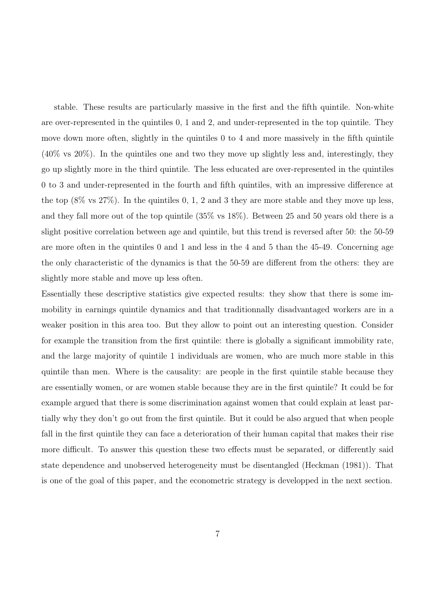stable. These results are particularly massive in the first and the fifth quintile. Non-white are over-represented in the quintiles 0, 1 and 2, and under-represented in the top quintile. They move down more often, slightly in the quintiles 0 to 4 and more massively in the fifth quintile (40% vs 20%). In the quintiles one and two they move up slightly less and, interestingly, they go up slightly more in the third quintile. The less educated are over-represented in the quintiles 0 to 3 and under-represented in the fourth and fifth quintiles, with an impressive difference at the top  $(8\% \text{ vs } 27\%)$ . In the quintiles 0, 1, 2 and 3 they are more stable and they move up less, and they fall more out of the top quintile (35% vs 18%). Between 25 and 50 years old there is a slight positive correlation between age and quintile, but this trend is reversed after 50: the 50-59 are more often in the quintiles 0 and 1 and less in the 4 and 5 than the 45-49. Concerning age the only characteristic of the dynamics is that the 50-59 are different from the others: they are slightly more stable and move up less often.

Essentially these descriptive statistics give expected results: they show that there is some immobility in earnings quintile dynamics and that traditionnally disadvantaged workers are in a weaker position in this area too. But they allow to point out an interesting question. Consider for example the transition from the first quintile: there is globally a significant immobility rate, and the large majority of quintile 1 individuals are women, who are much more stable in this quintile than men. Where is the causality: are people in the first quintile stable because they are essentially women, or are women stable because they are in the first quintile? It could be for example argued that there is some discrimination against women that could explain at least partially why they don't go out from the first quintile. But it could be also argued that when people fall in the first quintile they can face a deterioration of their human capital that makes their rise more difficult. To answer this question these two effects must be separated, or differently said state dependence and unobserved heterogeneity must be disentangled (Heckman (1981)). That is one of the goal of this paper, and the econometric strategy is developped in the next section.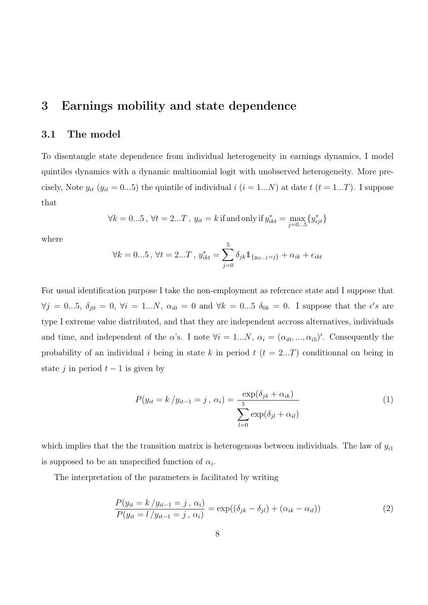## 3 Earnings mobility and state dependence

#### 3.1 The model

To disentangle state dependence from individual heterogeneity in earnings dynamics, I model quintiles dynamics with a dynamic multinomial logit with unobserved heterogeneity. More precisely, Note  $y_{it}$  ( $y_{it} = 0...5$ ) the quintile of individual  $i$  ( $i = 1...N$ ) at date  $t$  ( $t = 1...T$ ). I suppose that

$$
\forall k = 0...5, \, \forall t = 2...T, \, y_{it} = k \, \text{if and only if} \, y_{ikt}^* = \max_{j=0...5} \{ y_{ijt}^* \}
$$

where

$$
\forall k = 0...5, \forall t = 2...T, y_{ikt}^* = \sum_{j=0}^5 \delta_{jk} \mathbb{1}_{\{y_{it-1} = j\}} + \alpha_{ik} + \epsilon_{ikt}
$$

For usual identification purpose I take the non-employment as reference state and I suppose that  $\forall j = 0...5, \delta_{j0} = 0, \forall i = 1...N, \alpha_{i0} = 0 \text{ and } \forall k = 0...5 \delta_{0k} = 0.$  I suppose that the  $\epsilon's$  are type I extreme value distributed, and that they are independent accross alternatives, individuals and time, and independent of the  $\alpha$ 's. I note  $\forall i = 1...N$ ,  $\alpha_i = (\alpha_{i0}, ..., \alpha_{i5})'$ . Consequently the probability of an individual i being in state k in period  $t$  ( $t = 2...T$ ) conditionnal on being in state j in period  $t-1$  is given by

$$
P(y_{it} = k / y_{it-1} = j, \alpha_i) = \frac{\exp(\delta_{jk} + \alpha_{ik})}{\sum_{l=0}^{5} \exp(\delta_{jl} + \alpha_{il})}
$$
(1)

which implies that the the transition matrix is heterogenous between individuals. The law of  $y_{i1}$ is supposed to be an unspecified function of  $\alpha_i$ .

The interpretation of the parameters is facilitated by writing

$$
\frac{P(y_{it} = k/y_{it-1} = j, \alpha_i)}{P(y_{it} = l/y_{it-1} = j, \alpha_i)} = \exp((\delta_{jk} - \delta_{jl}) + (\alpha_{ik} - \alpha_{il}))
$$
\n(2)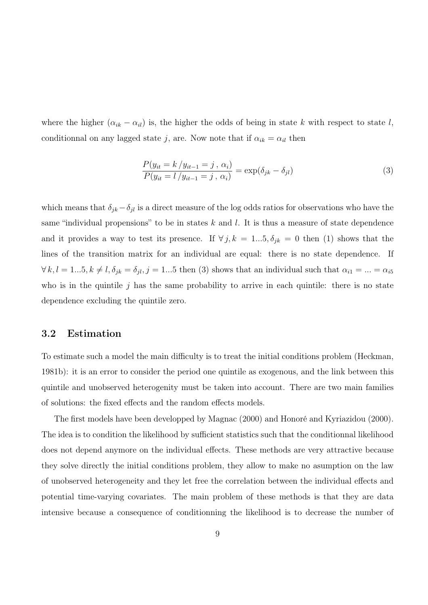where the higher  $(\alpha_{ik} - \alpha_{il})$  is, the higher the odds of being in state k with respect to state l, conditionnal on any lagged state j, are. Now note that if  $\alpha_{ik} = \alpha_{il}$  then

$$
\frac{P(y_{it} = k/y_{it-1} = j, \alpha_i)}{P(y_{it} = l/y_{it-1} = j, \alpha_i)} = \exp(\delta_{jk} - \delta_{jl})
$$
\n(3)

which means that  $\delta_{jk} - \delta_{jl}$  is a direct measure of the log odds ratios for observations who have the same "individual propensions" to be in states  $k$  and  $l$ . It is thus a measure of state dependence and it provides a way to test its presence. If  $\forall j, k = 1...5, \delta_{jk} = 0$  then (1) shows that the lines of the transition matrix for an individual are equal: there is no state dependence. If  $\forall k, l = 1...5, k \neq l, \delta_{jk} = \delta_{jl}, j = 1...5$  then (3) shows that an individual such that  $\alpha_{i1} = ... = \alpha_{i5}$ who is in the quintile  $j$  has the same probability to arrive in each quintile: there is no state dependence excluding the quintile zero.

#### 3.2 Estimation

To estimate such a model the main difficulty is to treat the initial conditions problem (Heckman, 1981b): it is an error to consider the period one quintile as exogenous, and the link between this quintile and unobserved heterogenity must be taken into account. There are two main families of solutions: the fixed effects and the random effects models.

The first models have been developped by Magnac (2000) and Honoré and Kyriazidou (2000). The idea is to condition the likelihood by sufficient statistics such that the conditionnal likelihood does not depend anymore on the individual effects. These methods are very attractive because they solve directly the initial conditions problem, they allow to make no asumption on the law of unobserved heterogeneity and they let free the correlation between the individual effects and potential time-varying covariates. The main problem of these methods is that they are data intensive because a consequence of conditionning the likelihood is to decrease the number of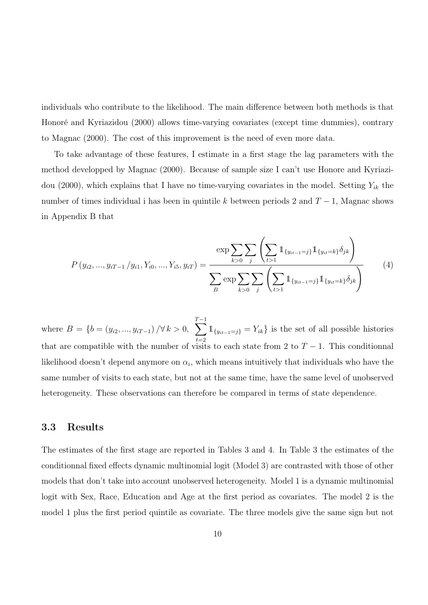individuals who contribute to the likelihood. The main difference between both methods is that Honoré and Kyriazidou (2000) allows time-varying covariates (except time dummies), contrary to Magnac (2000). The cost of this improvement is the need of even more data.

To take advantage of these features, I estimate in a first stage the lag parameters with the method developped by Magnac (2000). Because of sample size I can't use Honore and Kyriazidou (2000), which explains that I have no time-varying covariates in the model. Setting  $Y_{ik}$  the number of times individual i has been in quintile k between periods 2 and  $T-1$ , Magnac shows in Appendix B that

$$
P(y_{i2},...,y_{iT-1}/y_{i1},Y_{i0},...,Y_{i5},y_{iT}) = \frac{\exp\sum_{k>0}\sum_{j}\left(\sum_{t>1}\mathbb{1}_{\{y_{it-1}=j\}}\mathbb{1}_{\{y_{it}=k\}}\delta_{jk}\right)}{\sum_{B}\exp\sum_{k>0}\sum_{j}\left(\sum_{t>1}\mathbb{1}_{\{y_{it-1}=j\}}\mathbb{1}_{\{y_{it}=k\}}\delta_{jk}\right)}
$$
(4)

where  $B = \{b = (y_{i2}, ..., y_{iT-1}) / \forall k > 0, \sum$  $T-1$  $t=2$  $1_{\{y_{it-1}=j\}} = Y_{ik}$  is the set of all possible histories that are compatible with the number of visits to each state from 2 to  $T - 1$ . This conditionnal likelihood doesn't depend anymore on  $\alpha_i$ , which means intuitively that individuals who have the same number of visits to each state, but not at the same time, have the same level of unobserved heterogeneity. These observations can therefore be compared in terms of state dependence.

#### 3.3 Results

The estimates of the first stage are reported in Tables 3 and 4. In Table 3 the estimates of the conditionnal fixed effects dynamic multinomial logit (Model 3) are contrasted with those of other models that don't take into account unobserved heterogeneity. Model 1 is a dynamic multinomial logit with Sex, Race, Education and Age at the first period as covariates. The model 2 is the model 1 plus the first period quintile as covariate. The three models give the same sign but not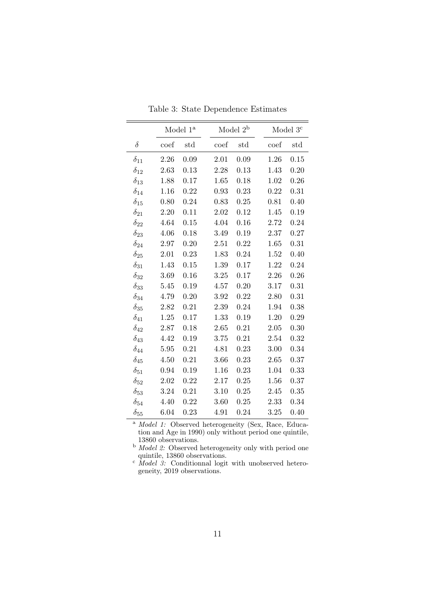|               | Model 1 <sup>a</sup> |      |          | Model $2^{\rm b}$ |                 | Model 3 <sup>c</sup> |
|---------------|----------------------|------|----------|-------------------|-----------------|----------------------|
| $\delta$      | coef                 | std  | coef     | std               | $\mathrm{coef}$ | std                  |
| $\delta_{11}$ | 2.26                 | 0.09 | 2.01     | 0.09              | 1.26            | 0.15                 |
| $\delta_{12}$ | 2.63                 | 0.13 | 2.28     | 0.13              | 1.43            | 0.20                 |
| $\delta_{13}$ | 1.88                 | 0.17 | 1.65     | 0.18              | 1.02            | 0.26                 |
| $\delta_{14}$ | 1.16                 | 0.22 | 0.93     | 0.23              | 0.22            | 0.31                 |
| $\delta_{15}$ | 0.80                 | 0.24 | 0.83     | 0.25              | 0.81            | 0.40                 |
| $\delta_{21}$ | 2.20                 | 0.11 | 2.02     | 0.12              | 1.45            | 0.19                 |
| $\delta_{22}$ | 4.64                 | 0.15 | 4.04     | 0.16              | 2.72            | 0.24                 |
| $\delta_{23}$ | 4.06                 | 0.18 | 3.49     | 0.19              | 2.37            | 0.27                 |
| $\delta_{24}$ | 2.97                 | 0.20 | 2.51     | 0.22              | 1.65            | 0.31                 |
| $\delta_{25}$ | 2.01                 | 0.23 | 1.83     | 0.24              | $1.52\,$        | 0.40                 |
| $\delta_{31}$ | 1.43                 | 0.15 | 1.39     | 0.17              | 1.22            | 0.24                 |
| $\delta_{32}$ | 3.69                 | 0.16 | 3.25     | 0.17              | 2.26            | 0.26                 |
| $\delta_{33}$ | 5.45                 | 0.19 | 4.57     | 0.20              | 3.17            | 0.31                 |
| $\delta_{34}$ | 4.79                 | 0.20 | $3.92\,$ | 0.22              | 2.80            | 0.31                 |
| $\delta_{35}$ | 2.82                 | 0.21 | 2.39     | 0.24              | 1.94            | 0.38                 |
| $\delta_{41}$ | 1.25                 | 0.17 | 1.33     | 0.19              | 1.20            | 0.29                 |
| $\delta_{42}$ | 2.87                 | 0.18 | 2.65     | 0.21              | 2.05            | 0.30                 |
| $\delta_{43}$ | 4.42                 | 0.19 | 3.75     | 0.21              | 2.54            | 0.32                 |
| $\delta_{44}$ | 5.95                 | 0.21 | 4.81     | 0.23              | 3.00            | 0.34                 |
| $\delta_{45}$ | 4.50                 | 0.21 | 3.66     | 0.23              | 2.65            | 0.37                 |
| $\delta_{51}$ | 0.94                 | 0.19 | 1.16     | 0.23              | 1.04            | 0.33                 |
| $\delta_{52}$ | 2.02                 | 0.22 | 2.17     | 0.25              | 1.56            | 0.37                 |
| $\delta_{53}$ | 3.24                 | 0.21 | 3.10     | 0.25              | 2.45            | 0.35                 |
| $\delta_{54}$ | 4.40                 | 0.22 | 3.60     | 0.25              | 2.33            | 0.34                 |
| $\delta_{55}$ | 6.04                 | 0.23 | 4.91     | 0.24              | 3.25            | 0.40                 |

Table 3: State Dependence Estimates

þ

<sup>a</sup> Model 1: Observed heterogeneity (Sex, Race, Education and Age in 1990) only without period one quintile,

13860 observations.<br><sup>b</sup> *Model 2:* Observed heterogeneity only with period one

quintile, 13860 observations.<br>
<sup>c</sup> *Model 3*: Conditionnal logit with unobserved heterogeneity, 2019 observations.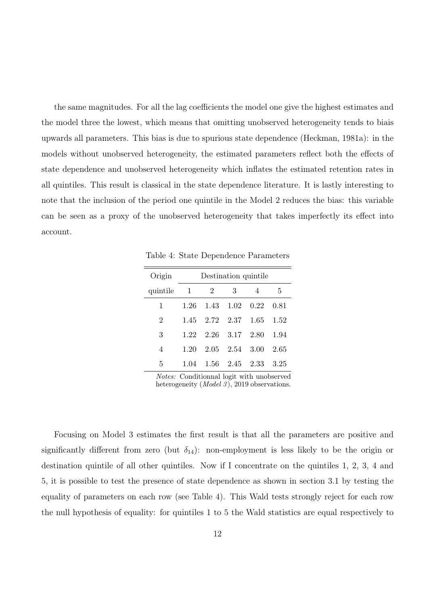the same magnitudes. For all the lag coefficients the model one give the highest estimates and the model three the lowest, which means that omitting unobserved heterogeneity tends to biais upwards all parameters. This bias is due to spurious state dependence (Heckman, 1981a): in the models without unobserved heterogeneity, the estimated parameters reflect both the effects of state dependence and unobserved heterogeneity which inflates the estimated retention rates in all quintiles. This result is classical in the state dependence literature. It is lastly interesting to note that the inclusion of the period one quintile in the Model 2 reduces the bias: this variable can be seen as a proxy of the unobserved heterogeneity that takes imperfectly its effect into account.

Table 4: State Dependence Parameters

| Origin         |      | Destination quintile |                      |                          |        |  |  |  |  |  |  |  |
|----------------|------|----------------------|----------------------|--------------------------|--------|--|--|--|--|--|--|--|
| quintile       | -1   | 2                    | 3                    | $\overline{4}$           | 5      |  |  |  |  |  |  |  |
| 1              |      |                      |                      | 1.26 1.43 1.02 0.22 0.81 |        |  |  |  |  |  |  |  |
| $\overline{2}$ | 1.45 |                      | 2.72 2.37 1.65       |                          | 1.52   |  |  |  |  |  |  |  |
| 3              | 1.22 |                      | 2.26 3.17 2.80       |                          | 1.94   |  |  |  |  |  |  |  |
| 4              | 1.20 |                      | $2.05$ $2.54$ $3.00$ |                          | 2.65   |  |  |  |  |  |  |  |
| 5              | 1.04 |                      | 1.56 2.45 2.33       |                          | - 3.25 |  |  |  |  |  |  |  |

Notes: Conditionnal logit with unobserved heterogeneity  $(Model 3)$ , 2019 observations.

Focusing on Model 3 estimates the first result is that all the parameters are positive and significantly different from zero (but  $\delta_{14}$ ): non-employment is less likely to be the origin or destination quintile of all other quintiles. Now if I concentrate on the quintiles 1, 2, 3, 4 and 5, it is possible to test the presence of state dependence as shown in section 3.1 by testing the equality of parameters on each row (see Table 4). This Wald tests strongly reject for each row the null hypothesis of equality: for quintiles 1 to 5 the Wald statistics are equal respectively to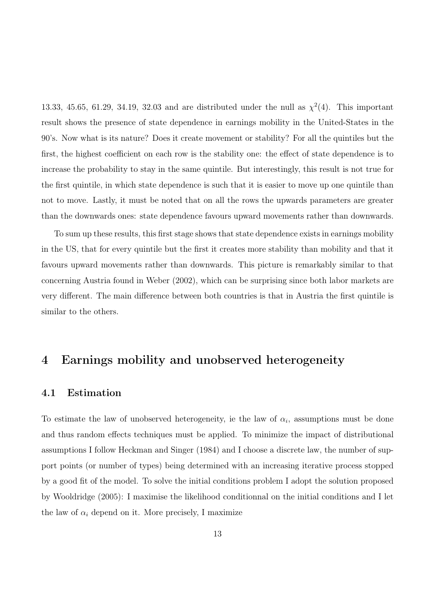13.33, 45.65, 61.29, 34.19, 32.03 and are distributed under the null as  $\chi^2(4)$ . This important result shows the presence of state dependence in earnings mobility in the United-States in the 90's. Now what is its nature? Does it create movement or stability? For all the quintiles but the first, the highest coefficient on each row is the stability one: the effect of state dependence is to increase the probability to stay in the same quintile. But interestingly, this result is not true for the first quintile, in which state dependence is such that it is easier to move up one quintile than not to move. Lastly, it must be noted that on all the rows the upwards parameters are greater than the downwards ones: state dependence favours upward movements rather than downwards.

To sum up these results, this first stage shows that state dependence exists in earnings mobility in the US, that for every quintile but the first it creates more stability than mobility and that it favours upward movements rather than downwards. This picture is remarkably similar to that concerning Austria found in Weber (2002), which can be surprising since both labor markets are very different. The main difference between both countries is that in Austria the first quintile is similar to the others.

## 4 Earnings mobility and unobserved heterogeneity

#### 4.1 Estimation

To estimate the law of unobserved heterogeneity, ie the law of  $\alpha_i$ , assumptions must be done and thus random effects techniques must be applied. To minimize the impact of distributional assumptions I follow Heckman and Singer (1984) and I choose a discrete law, the number of support points (or number of types) being determined with an increasing iterative process stopped by a good fit of the model. To solve the initial conditions problem I adopt the solution proposed by Wooldridge (2005): I maximise the likelihood conditionnal on the initial conditions and I let the law of  $\alpha_i$  depend on it. More precisely, I maximize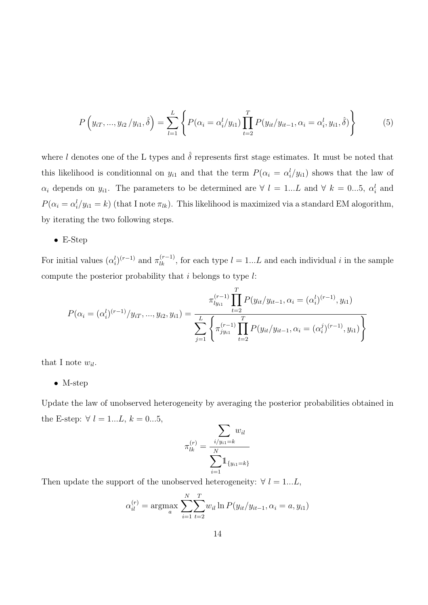$$
P(y_{iT},...,y_{i2}/y_{i1},\hat{\delta}) = \sum_{l=1}^{L} \left\{ P(\alpha_i = \alpha_i^l/y_{i1}) \prod_{t=2}^{T} P(y_{it}/y_{it-1},\alpha_i = \alpha_i^l, y_{i1},\hat{\delta}) \right\}
$$
(5)

where l denotes one of the L types and  $\hat{\delta}$  represents first stage estimates. It must be noted that this likelihood is conditionnal on  $y_{i1}$  and that the term  $P(\alpha_i = \alpha_i^l/y_{i1})$  shows that the law of  $\alpha_i$  depends on  $y_{i1}$ . The parameters to be determined are  $\forall l = 1...L$  and  $\forall k = 0...5$ ,  $\alpha_i^l$  and  $P(\alpha_i = \alpha_i^l / y_{i1} = k)$  (that I note  $\pi_{lk}$ ). This likelihood is maximized via a standard EM alogorithm, by iterating the two following steps.

• E-Step

For initial values  $(\alpha_i^l)^{(r-1)}$  and  $\pi_{lk}^{(r-1)}$ , for each type  $l = 1...L$  and each individual i in the sample compute the posterior probability that  $i$  belongs to type  $l$ :

$$
P(\alpha_i = (\alpha_i^{l})^{(r-1)}/y_{iT}, ..., y_{i2}, y_{i1}) = \frac{\pi_{ly_{i1}}^{(r-1)} \prod_{t=2}^{T} P(y_{it}/y_{it-1}, \alpha_i = (\alpha_i^{l})^{(r-1)}, y_{i1})}{\sum_{j=1}^{L} \left\{ \pi_{jy_{i1}}^{(r-1)} \prod_{t=2}^{T} P(y_{it}/y_{it-1}, \alpha_i = (\alpha_i^{j})^{(r-1)}, y_{i1}) \right\}}
$$

that I note  $w_{il}$ .

• M-step

Update the law of unobserved heterogeneity by averaging the posterior probabilities obtained in the E-step:  $\forall l = 1...L, k = 0...5,$ 

$$
\pi_{lk}^{(r)} = \frac{\sum_{i/y_{i1}=k} w_{il}}{\sum_{i=1}^{N} 1_{\{y_{i1}=k\}}}
$$

Then update the support of the unobserved heterogeneity:  $\forall l = 1...L$ ,

$$
\alpha_{il}^{(r)} = \underset{a}{\text{argmax}} \sum_{i=1}^{N} \sum_{t=2}^{T} w_{il} \ln P(y_{it}/y_{it-1}, \alpha_i = a, y_{i1})
$$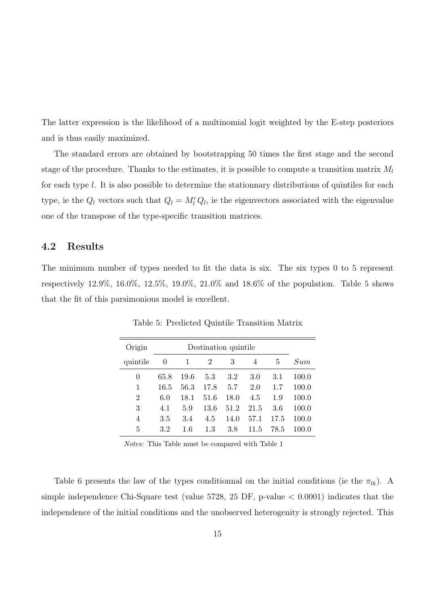The latter expression is the likelihood of a multinomial logit weighted by the E-step posteriors and is thus easily maximized.

The standard errors are obtained by bootstrapping 50 times the first stage and the second stage of the procedure. Thanks to the estimates, it is possible to compute a transition matrix  $M_l$ for each type l. It is also possible to determine the stationnary distributions of quintiles for each type, ie the  $Q_l$  vectors such that  $Q_l = M'_l Q_l$ , ie the eigenvectors associated with the eigenvalue one of the transpose of the type-specific transition matrices.

#### 4.2 Results

The minimum number of types needed to fit the data is six. The six types 0 to 5 represent respectively 12.9%, 16.0%, 12.5%, 19.0%, 21.0% and 18.6% of the population. Table 5 shows that the fit of this parsimonious model is excellent.

| Origin         |      |          |         |      |      |      |       |
|----------------|------|----------|---------|------|------|------|-------|
| quintile       | 0    | 1        | 2       | 3    | 4    | 5    | Sum   |
| 0              | 65.8 | 19.6     | $5.3\,$ | 3.2  | 3.0  | 3.1  | 100.0 |
| 1              | 16.5 | $56.3\,$ | 17.8    | 5.7  | 2.0  | 1.7  | 100.0 |
| $\overline{2}$ | 6.0  | 18.1     | 51.6    | 18.0 | 4.5  | 1.9  | 100.0 |
| 3              | 4.1  | 5.9      | 13.6    | 51.2 | 21.5 | 3.6  | 100.0 |
| 4              | 3.5  | 3.4      | 4.5     | 14.0 | 57.1 | 17.5 | 100.0 |
| 5              | 3.2  | 1.6      | 1.3     | 3.8  | 11.5 | 78.5 | 100.0 |

Table 5: Predicted Quintile Transition Matrix

Notes: This Table must be compared with Table 1

Table 6 presents the law of the types conditionnal on the initial conditions (ie the  $\pi_{lk}$ ). A simple independence Chi-Square test (value  $5728$ ,  $25$  DF, p-value  $\lt$  0.0001) indicates that the independence of the initial conditions and the unobserved heterogenity is strongly rejected. This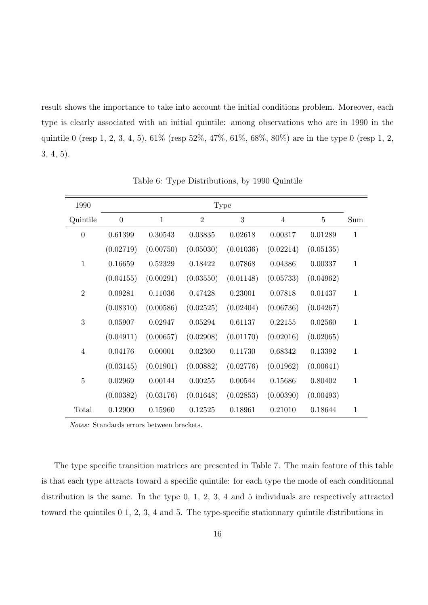result shows the importance to take into account the initial conditions problem. Moreover, each type is clearly associated with an initial quintile: among observations who are in 1990 in the quintile 0 (resp 1, 2, 3, 4, 5), 61% (resp 52%, 47%, 61%, 68%, 80%) are in the type 0 (resp 1, 2, 3, 4, 5).

| $\overline{0}$ | $\mathbf{1}$ | $\overline{2}$ | 3         | 4         | $\overline{5}$ | Sum          |
|----------------|--------------|----------------|-----------|-----------|----------------|--------------|
| 0.61399        | 0.30543      | 0.03835        | 0.02618   | 0.00317   | 0.01289        | $\mathbf{1}$ |
| (0.02719)      | (0.00750)    | (0.05030)      | (0.01036) | (0.02214) | (0.05135)      |              |
| 0.16659        | 0.52329      | 0.18422        | 0.07868   | 0.04386   | 0.00337        | $\mathbf{1}$ |
| (0.04155)      | (0.00291)    | (0.03550)      | (0.01148) | (0.05733) | (0.04962)      |              |
| 0.09281        | 0.11036      | 0.47428        | 0.23001   | 0.07818   | 0.01437        | $\mathbf{1}$ |
| (0.08310)      | (0.00586)    | (0.02525)      | (0.02404) | (0.06736) | (0.04267)      |              |
| 0.05907        | 0.02947      | 0.05294        | 0.61137   | 0.22155   | 0.02560        | $\mathbf{1}$ |
| (0.04911)      | (0.00657)    | (0.02908)      | (0.01170) | (0.02016) | (0.02065)      |              |
| 0.04176        | 0.00001      | 0.02360        | 0.11730   | 0.68342   | 0.13392        | $\mathbf{1}$ |
| (0.03145)      | (0.01901)    | (0.00882)      | (0.02776) | (0.01962) | (0.00641)      |              |
| 0.02969        | 0.00144      | 0.00255        | 0.00544   | 0.15686   | 0.80402        | $\mathbf{1}$ |
| (0.00382)      | (0.03176)    | (0.01648)      | (0.02853) | (0.00390) | (0.00493)      |              |
| 0.12900        | 0.15960      | 0.12525        | 0.18961   | 0.21010   | 0.18644        | $\mathbf{1}$ |
|                |              |                |           | Type      |                |              |

Table 6: Type Distributions, by 1990 Quintile

Notes: Standards errors between brackets.

The type specific transition matrices are presented in Table 7. The main feature of this table is that each type attracts toward a specific quintile: for each type the mode of each conditionnal distribution is the same. In the type 0, 1, 2, 3, 4 and 5 individuals are respectively attracted toward the quintiles 0 1, 2, 3, 4 and 5. The type-specific stationnary quintile distributions in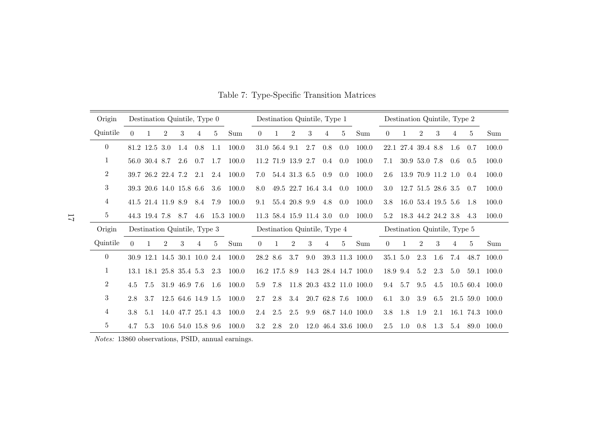| Origin         |          |               | Destination Quintile, Type 0 |               |                    |                |                |          |                         |               |                    | Destination Quintile, Type 1 |     |                           |          | Destination Quintile, Type 2 |                |                    |      |           |                 |
|----------------|----------|---------------|------------------------------|---------------|--------------------|----------------|----------------|----------|-------------------------|---------------|--------------------|------------------------------|-----|---------------------------|----------|------------------------------|----------------|--------------------|------|-----------|-----------------|
| Quintile       | $\Omega$ |               | $\mathfrak{D}$               | 3             |                    | $\overline{5}$ | Sum            | $\theta$ | 1                       | 2             | 3                  | 4                            | 5   | Sum                       | 0        | 1                            | 2              | 3                  | 4    | 5         | Sum             |
| $\overline{0}$ |          | 81.2 12.5 3.0 |                              | 1.4           | 0.8                | 1.1            | 100.0          |          | 31.0 56.4 9.1           |               | 2.7                | 0.8                          | 0.0 | 100.0                     |          | 22.1 27.4 39.4 8.8           |                |                    | -1.6 | 0.7       | 100.0           |
| 1              |          | 56.0 30.4 8.7 |                              | 2.6           | 0.7                | 1.7            | 100.0          | 11.2     |                         | 71.9 13.9 2.7 |                    | $0.4\,$                      | 0.0 | 100.0                     | 7.1      |                              | 30.9 53.0 7.8  |                    | 0.6  | 0.5       | 100.0           |
| $\overline{2}$ |          |               | 39.7 26.2 22.4 7.2           |               | 2.1                | 2.4            | 100.0          | 7.0      |                         | 54.4 31.3 6.5 |                    | 0.9                          | 0.0 | 100.0                     | 2.6      |                              |                | 13.9 70.9 11.2 1.0 |      | 0.4       | 100.0           |
| 3              |          |               | 39.3 20.6 14.0 15.8 6.6      |               |                    | 3.6            | 100.0          | 8.0      |                         |               | 49.5 22.7 16.4 3.4 |                              | 0.0 | 100.0                     | 3.0      |                              |                | 12.7 51.5 28.6 3.5 |      | 0.7       | 100.0           |
| 4              |          |               | 41.5 21.4 11.9 8.9           |               | 8.4                | 7.9            | 100.0          | 9.1      |                         | 55.4 20.8 9.9 |                    | 4.8                          | 0.0 | 100.0                     | 3.8      |                              |                | 16.0 53.4 19.5 5.6 |      | -1.8      | 100.0           |
| $5^{\circ}$    |          |               | 44.3 19.4 7.8 8.7            |               |                    |                | 4.6 15.3 100.0 |          | 11.3 58.4 15.9 11.4 3.0 |               |                    |                              | 0.0 | 100.0                     | 5.2      | 18.3 44.2 24.2 3.8           |                |                    |      | 4.3       | 100.0           |
| Origin         |          |               | Destination Quintile, Type 3 |               |                    |                |                |          |                         |               |                    | Destination Quintile, Type 4 |     |                           |          | Destination Quintile, Type 5 |                |                    |      |           |                 |
| Quintile       | $\Omega$ |               | $\mathfrak{D}$               | 3             | $\overline{4}$     | 5              | Sum            | $\Omega$ | 1                       | 2             | 3                  | 4                            | 5   | Sum                       | 0        | 1                            | $\overline{2}$ | 3                  | 4    | 5         | Sum             |
| $\theta$       |          |               | 30.9 12.1 14.5 30.1 10.0 2.4 |               |                    |                | 100.0          | 28.2 8.6 |                         | 3.7           | 9.0                |                              |     | 39.3 11.3 100.0           | 35.1 5.0 |                              | 2.3            | 1.6                | 7.4  | 48.7      | 100.0           |
| 1              |          |               | 13.1 18.1 25.8 35.4 5.3      |               |                    | 2.3            | 100.0          |          | 16.2 17.5 8.9           |               |                    |                              |     | 14.3 28.4 14.7 100.0      | 18.9 9.4 |                              | 5.2            | 2.3                | 5.0  | 59.1      | 100.0           |
| 2              | 4.5      | 7.5           |                              | 31.9 46.9 7.6 |                    | 1.6            | 100.0          | 5.9      | 7.8                     |               |                    |                              |     | 11.8 20.3 43.2 11.0 100.0 | 9.4      | 5.7                          | $9.5\,$        | 4.5                |      |           | 10.5 60.4 100.0 |
| 3              | 2.8      | 3.7           |                              |               | 12.5 64.6 14.9 1.5 |                | 100.0          | 2.7      | 2.8                     | 3.4           |                    | 20.7 62.8 7.6                |     | 100.0                     | 6.1      | 3.0                          | 3.9            | 6.5                |      | 21.5 59.0 | 100.0           |
| 4              | 3.8      | 5.1           |                              |               | 14.0 47.7 25.1 4.3 |                | 100.0          | 2.4      | 2.5                     | $2.5\,$       | 9.9                |                              |     | 68.7 14.0 100.0           | 3.8      | 1.8                          | - 1.9          | 2.1                |      |           | 16.1 74.3 100.0 |
| 5              | 4.7      | 5.3           |                              |               | 10.6 54.0 15.8 9.6 |                | 100.0          | 3.2      | 2.8                     | 2.0           |                    |                              |     | 12.0 46.4 33.6 100.0      | 2.5      | 1.0                          | 0.8            | 1.3                | 5.4  | 89.0      | 100.0           |

Table 7: Type-Specific Transition Matrices

Notes: 13860 observations, PSID, annual earnings.

17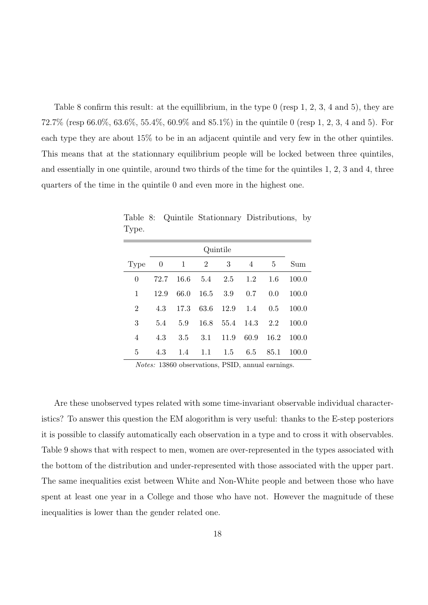Table 8 confirm this result: at the equillibrium, in the type 0 (resp 1, 2, 3, 4 and 5), they are 72.7% (resp 66.0%, 63.6%, 55.4%, 60.9% and 85.1%) in the quintile 0 (resp 1, 2, 3, 4 and 5). For each type they are about 15% to be in an adjacent quintile and very few in the other quintiles. This means that at the stationnary equilibrium people will be locked between three quintiles, and essentially in one quintile, around two thirds of the time for the quintiles 1, 2, 3 and 4, three quarters of the time in the quintile 0 and even more in the highest one.

|                | Quintile       |              |                |      |               |      |       |  |  |  |  |  |
|----------------|----------------|--------------|----------------|------|---------------|------|-------|--|--|--|--|--|
| Type           | $\overline{0}$ | $\mathbf{1}$ | $\overline{2}$ | 3    | 4             | 5    | Sum   |  |  |  |  |  |
| 0              | 72.7           | 16.6         | 5.4            | 2.5  | 1.2           | 1.6  | 100.0 |  |  |  |  |  |
| 1              | 12.9           | 66.0         | 16.5           | 3.9  | 0.7           | 0.0  | 100.0 |  |  |  |  |  |
| $\overline{2}$ | 4.3            | 17.3         | 63.6           | 12.9 | 1.4           | 0.5  | 100.0 |  |  |  |  |  |
| 3              | 5.4            | 5.9          | 16.8           |      | 55.4 14.3 2.2 |      | 100.0 |  |  |  |  |  |
| 4              | 4.3            | 3.5          | 3.1            | 11.9 | 60.9          | 16.2 | 100.0 |  |  |  |  |  |
| 5              | 4.3            | 1.4          | 1.1            | 1.5  | 6.5           | 85.1 | 100.0 |  |  |  |  |  |

Table 8: Quintile Stationnary Distributions, by Type.

Notes: 13860 observations, PSID, annual earnings.

Are these unobserved types related with some time-invariant observable individual characteristics? To answer this question the EM alogorithm is very useful: thanks to the E-step posteriors it is possible to classify automatically each observation in a type and to cross it with observables. Table 9 shows that with respect to men, women are over-represented in the types associated with the bottom of the distribution and under-represented with those associated with the upper part. The same inequalities exist between White and Non-White people and between those who have spent at least one year in a College and those who have not. However the magnitude of these inequalities is lower than the gender related one.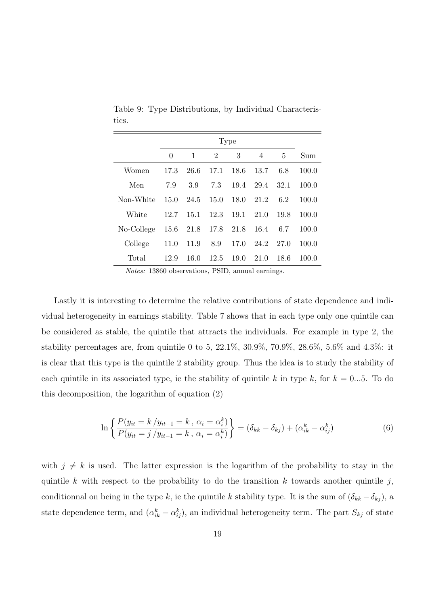|            |      |      |                | Type |      |      |       |
|------------|------|------|----------------|------|------|------|-------|
|            | 0    | 1    | $\overline{2}$ | 3    | 4    | 5    | Sum   |
| Women      | 17.3 | 26.6 | 17.1           | 18.6 | 13.7 | 6.8  | 100.0 |
| Men        | 7.9  | 3.9  | 7.3            | 19.4 | 29.4 | 32.1 | 100.0 |
| Non-White  | 15.0 | 24.5 | 15.0           | 18.0 | 21.2 | 6.2  | 100.0 |
| White      | 12.7 | 15.1 | 12.3           | 19.1 | 21.0 | 19.8 | 100.0 |
| No-College | 15.6 | 21.8 | 17.8           | 21.8 | 16.4 | 6.7  | 100.0 |
| College    | 11.0 | 11.9 | 8.9            | 17.0 | 24.2 | 27.0 | 100.0 |
| Total      | 12.9 | 16.0 | 12.5           | 19.0 | 21.0 | 18.6 | 100.0 |

Table 9: Type Distributions, by Individual Characteristics.

Notes: 13860 observations, PSID, annual earnings.

Lastly it is interesting to determine the relative contributions of state dependence and individual heterogeneity in earnings stability. Table 7 shows that in each type only one quintile can be considered as stable, the quintile that attracts the individuals. For example in type 2, the stability percentages are, from quintile 0 to 5, 22.1\%, 30.9\%, 70.9\%, 28.6\%, 5.6\% and 4.3\%: it is clear that this type is the quintile 2 stability group. Thus the idea is to study the stability of each quintile in its associated type, ie the stability of quintile k in type k, for  $k = 0...5$ . To do this decomposition, the logarithm of equation (2)

$$
\ln \left\{ \frac{P(y_{it} = k / y_{it-1} = k, \alpha_i = \alpha_i^k)}{P(y_{it} = j / y_{it-1} = k, \alpha_i = \alpha_i^k)} \right\} = (\delta_{kk} - \delta_{kj}) + (\alpha_{ik}^k - \alpha_{ij}^k)
$$
(6)

with  $j \neq k$  is used. The latter expression is the logarithm of the probability to stay in the quintile k with respect to the probability to do the transition k towards another quintile j, conditionnal on being in the type k, ie the quintile k stability type. It is the sum of  $(\delta_{kk} - \delta_{kj})$ , a state dependence term, and  $(\alpha_{ik}^k - \alpha_{ij}^k)$ , an individual heterogeneity term. The part  $S_{kj}$  of state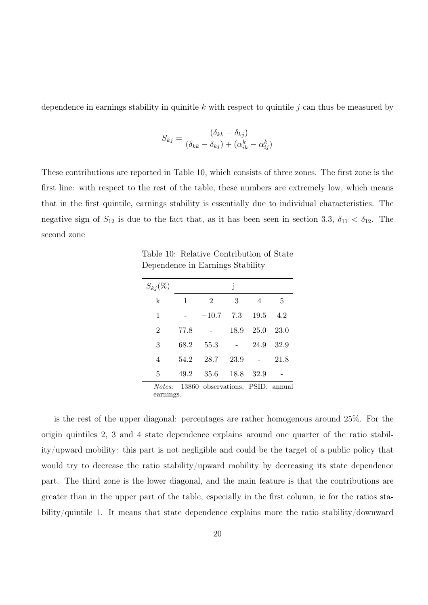dependence in earnings stability in quinitle k with respect to quintile  $j$  can thus be measured by

$$
S_{kj} = \frac{(\delta_{kk} - \delta_{kj})}{(\delta_{kk} - \delta_{kj}) + (\alpha_{ik}^k - \alpha_{ij}^k)}
$$

These contributions are reported in Table 10, which consists of three zones. The first zone is the first line: with respect to the rest of the table, these numbers are extremely low, which means that in the first quintile, earnings stability is essentially due to individual characteristics. The negative sign of  $S_{12}$  is due to the fact that, as it has been seen in section 3.3,  $\delta_{11} < \delta_{12}$ . The second zone

Table 10: Relative Contribution of State Dependence in Earnings Stability

| $S_{kj}(\%)$   |              |                | j    |              |        |
|----------------|--------------|----------------|------|--------------|--------|
| $\mathbf k$    | $\mathbf{1}$ | $\overline{2}$ | 3    | 4            | 5      |
| $\mathbf 1$    |              | $-10.7$        |      | 7.3 19.5 4.2 |        |
| $\overline{2}$ | 77.8         |                | 18.9 | 25.0         | - 23.0 |
| 3              | 68.2         | 55.3           |      | $-24.9$      | 32.9   |
| $\overline{4}$ | 54.2         | 28.7           | 23.9 |              | 21.8   |
| 5              | 49.2         | 35.6 18.8 32.9 |      |              |        |
| $\cdots$       |              |                |      | $\sqrt{1}$   |        |

Notes: 13860 observations, PSID, annual earnings.

is the rest of the upper diagonal: percentages are rather homogenous around 25%. For the origin quintiles 2, 3 and 4 state dependence explains around one quarter of the ratio stability/upward mobility: this part is not negligible and could be the target of a public policy that would try to decrease the ratio stability/upward mobility by decreasing its state dependence part. The third zone is the lower diagonal, and the main feature is that the contributions are greater than in the upper part of the table, especially in the first column, ie for the ratios stability/quintile 1. It means that state dependence explains more the ratio stability/downward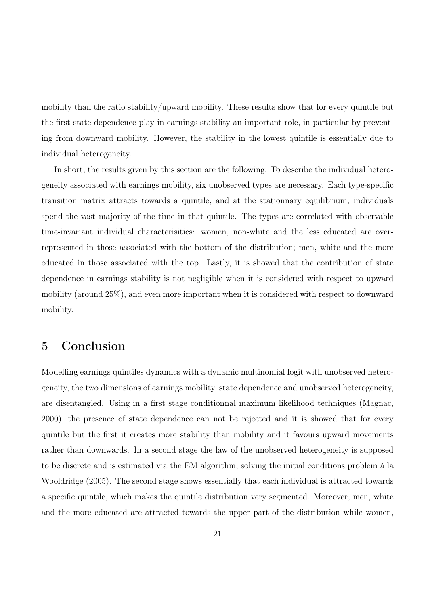mobility than the ratio stability/upward mobility. These results show that for every quintile but the first state dependence play in earnings stability an important role, in particular by preventing from downward mobility. However, the stability in the lowest quintile is essentially due to individual heterogeneity.

In short, the results given by this section are the following. To describe the individual heterogeneity associated with earnings mobility, six unobserved types are necessary. Each type-specific transition matrix attracts towards a quintile, and at the stationnary equilibrium, individuals spend the vast majority of the time in that quintile. The types are correlated with observable time-invariant individual characterisitics: women, non-white and the less educated are overrepresented in those associated with the bottom of the distribution; men, white and the more educated in those associated with the top. Lastly, it is showed that the contribution of state dependence in earnings stability is not negligible when it is considered with respect to upward mobility (around 25%), and even more important when it is considered with respect to downward mobility.

## 5 Conclusion

Modelling earnings quintiles dynamics with a dynamic multinomial logit with unobserved heterogeneity, the two dimensions of earnings mobility, state dependence and unobserved heterogeneity, are disentangled. Using in a first stage conditionnal maximum likelihood techniques (Magnac, 2000), the presence of state dependence can not be rejected and it is showed that for every quintile but the first it creates more stability than mobility and it favours upward movements rather than downwards. In a second stage the law of the unobserved heterogeneity is supposed to be discrete and is estimated via the EM algorithm, solving the initial conditions problem à la Wooldridge (2005). The second stage shows essentially that each individual is attracted towards a specific quintile, which makes the quintile distribution very segmented. Moreover, men, white and the more educated are attracted towards the upper part of the distribution while women,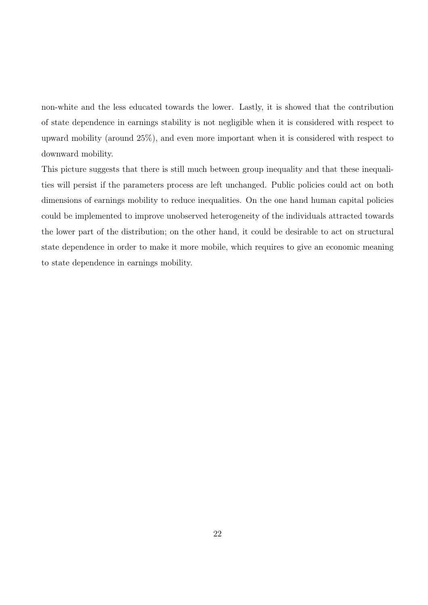non-white and the less educated towards the lower. Lastly, it is showed that the contribution of state dependence in earnings stability is not negligible when it is considered with respect to upward mobility (around 25%), and even more important when it is considered with respect to downward mobility.

This picture suggests that there is still much between group inequality and that these inequalities will persist if the parameters process are left unchanged. Public policies could act on both dimensions of earnings mobility to reduce inequalities. On the one hand human capital policies could be implemented to improve unobserved heterogeneity of the individuals attracted towards the lower part of the distribution; on the other hand, it could be desirable to act on structural state dependence in order to make it more mobile, which requires to give an economic meaning to state dependence in earnings mobility.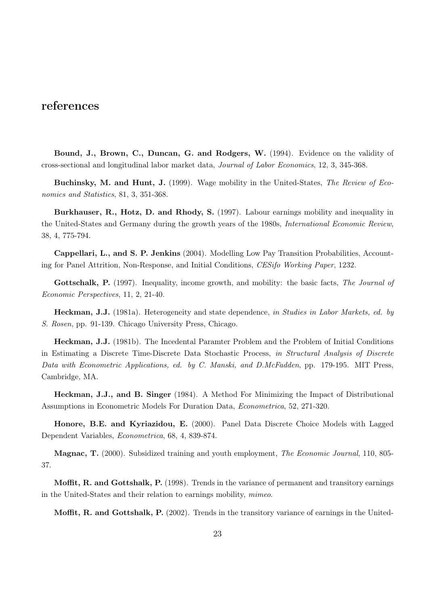## references

Bound, J., Brown, C., Duncan, G. and Rodgers, W. (1994). Evidence on the validity of cross-sectional and longitudinal labor market data, Journal of Labor Economics, 12, 3, 345-368.

Buchinsky, M. and Hunt, J. (1999). Wage mobility in the United-States, The Review of Economics and Statistics, 81, 3, 351-368.

Burkhauser, R., Hotz, D. and Rhody, S. (1997). Labour earnings mobility and inequality in the United-States and Germany during the growth years of the 1980s, International Economic Review, 38, 4, 775-794.

Cappellari, L., and S. P. Jenkins (2004). Modelling Low Pay Transition Probabilities, Accounting for Panel Attrition, Non-Response, and Initial Conditions, CESifo Working Paper, 1232.

Gottschalk, P. (1997). Inequality, income growth, and mobility: the basic facts, The Journal of Economic Perspectives, 11, 2, 21-40.

Heckman, J.J. (1981a). Heterogeneity and state dependence, in Studies in Labor Markets, ed. by S. Rosen, pp. 91-139. Chicago University Press, Chicago.

Heckman, J.J. (1981b). The Incedental Paramter Problem and the Problem of Initial Conditions in Estimating a Discrete Time-Discrete Data Stochastic Process, in Structural Analysis of Discrete Data with Econometric Applications, ed. by C. Manski, and D.McFadden, pp. 179-195. MIT Press, Cambridge, MA.

Heckman, J.J., and B. Singer (1984). A Method For Minimizing the Impact of Distributional Assumptions in Econometric Models For Duration Data, Econometrica, 52, 271-320.

Honore, B.E. and Kyriazidou, E. (2000). Panel Data Discrete Choice Models with Lagged Dependent Variables, Econometrica, 68, 4, 839-874.

Magnac, T. (2000). Subsidized training and youth employment, *The Economic Journal*, 110, 805-37.

Moffit, R. and Gottshalk, P. (1998). Trends in the variance of permanent and transitory earnings in the United-States and their relation to earnings mobility, mimeo.

Moffit, R. and Gottshalk, P. (2002). Trends in the transitory variance of earnings in the United-